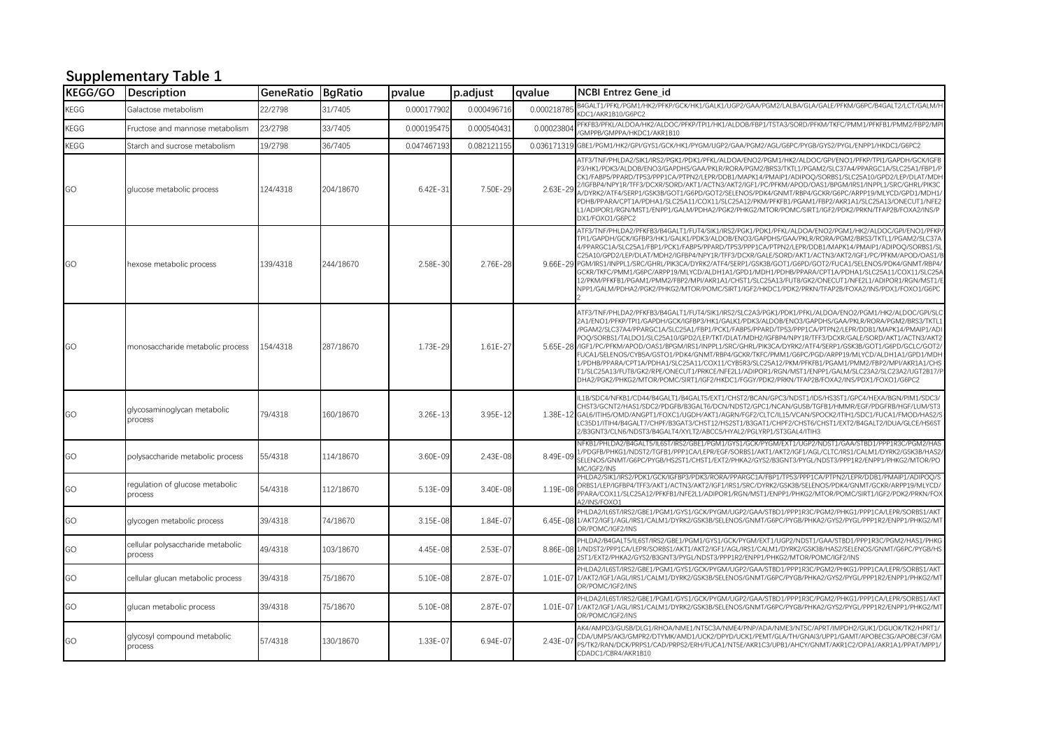## **Supplementary Table 1**

| <b>KEGG/GO</b> | Description                                  | GeneRatio BgRatio |           | pvalue       | p.adjust     | qvalue       | <b>NCBI Entrez Gene id</b>                                                                                                                                                                                                                                                                                                                                                                                                                                                                                                                                                                                                                                                                                                                                                                                                                                                                                                                            |
|----------------|----------------------------------------------|-------------------|-----------|--------------|--------------|--------------|-------------------------------------------------------------------------------------------------------------------------------------------------------------------------------------------------------------------------------------------------------------------------------------------------------------------------------------------------------------------------------------------------------------------------------------------------------------------------------------------------------------------------------------------------------------------------------------------------------------------------------------------------------------------------------------------------------------------------------------------------------------------------------------------------------------------------------------------------------------------------------------------------------------------------------------------------------|
| KEGG           | Galactose metabolism                         | 22/2798           | 31/7405   | 0.000177902  | 0.000496716  | 0.000218785  | B4GALT1/PFKL/PGM1/HK2/PFKP/GCK/HK1/GALK1/UGP2/GAA/PGM2/LALBA/GLA/GALE/PFKM/G6PC/B4GALT2/LCT/GALM/F<br>KDC1/AKR1B10/G6PC2                                                                                                                                                                                                                                                                                                                                                                                                                                                                                                                                                                                                                                                                                                                                                                                                                              |
| KEGG           | Fructose and mannose metabolism              | 23/2798           | 33/7405   | 0.000195475  | 0.000540431  | 0.0002380    | PFKFB3/PFKL/ALDOA/HK2/ALDOC/PFKP/TPI1/HK1/ALDOB/FBP1/TSTA3/SORD/PFKM/TKFC/PMM1/PFKFB1/PMM2/FBP2/MPI<br>/GMPPB/GMPPA/HKDC1/AKR1B10                                                                                                                                                                                                                                                                                                                                                                                                                                                                                                                                                                                                                                                                                                                                                                                                                     |
| KEGG           | Starch and sucrose metabolism                | 19/2798           | 36/7405   | 0.047467193  | 0.082121155  | 0.036171319  | GBE1/PGM1/HK2/GPI/GYS1/GCK/HK1/PYGM/UGP2/GAA/PGM2/AGL/G6PC/PYGB/GYS2/PYGL/ENPP1/HKDC1/G6PC2                                                                                                                                                                                                                                                                                                                                                                                                                                                                                                                                                                                                                                                                                                                                                                                                                                                           |
| GO             | glucose metabolic process                    | 124/4318          | 204/18670 | $6.42E - 31$ | 7.50E-29     | $2.63E - 29$ | ATF3/TNF/PHLDA2/SIK1/IRS2/PGK1/PDK1/PFKL/ALDOA/ENO2/PGM1/HK2/ALDOC/GPI/ENO1/PFKP/TPI1/GAPDH/GCK/IGFB<br>P3/HK1/PDK3/ALDOB/ENO3/GAPDHS/GAA/PKLR/RORA/PGM2/BRS3/TKTL1/PGAM2/SLC37A4/PPARGC1A/SLC25A1/FBP1/F<br>CK1/FABP5/PPARD/TP53/PPP1CA/PTPN2/LEPR/DDB1/MAPK14/PMAIP1/ADIPOQ/SORBS1/SLC25A10/GPD2/LEP/DLAT/MDF<br>2/IGFBP4/NPY1R/TFF3/DCXR/SORD/AKT1/ACTN3/AKT2/IGF1/PC/PFKM/APOD/OAS1/BPGM/IRS1/INPPL1/SRC/GHRL/PIK3C<br>A/DYRK2/ATF4/SERP1/GSK3B/GOT1/G6PD/GOT2/SELENOS/PDK4/GNMT/RBP4/GCKR/G6PC/ARPP19/MLYCD/GPD1/MDH1.<br>PDHB/PPARA/CPT1A/PDHA1/SLC25A11/COX11/SLC25A12/PKM/PFKFB1/PGAM1/FBP2/AKR1A1/SLC25A13/ONECUT1/NFE2<br>L1/ADIPOR1/RGN/MST1/ENPP1/GALM/PDHA2/PGK2/PHKG2/MTOR/POMC/SIRT1/IGF2/PDK2/PRKN/TFAP2B/FOXA2/INS/P<br>DX1/FOXO1/G6PC2                                                                                                                                                                                              |
| GO             | hexose metabolic process                     | 139/4318          | 244/18670 | 2.58E-30     | 2.76E-28     |              | ATF3/TNF/PHLDA2/PFKFB3/B4GALT1/FUT4/SIK1/IRS2/PGK1/PDK1/PFKL/ALDOA/ENO2/PGM1/HK2/ALDOC/GPI/ENO1/PFKP<br>TPI1/GAPDH/GCK/IGFBP3/HK1/GALK1/PDK3/ALDOB/ENO3/GAPDHS/GAA/PKLR/RORA/PGM2/BRS3/TKTL1/PGAM2/SLC37A<br>4/PPARGC1A/SLC25A1/FBP1/PCK1/FABP5/PPARD/TP53/PPP1CA/PTPN2/LEPR/DDB1/MAPK14/PMAIP1/ADIPOQ/SORBS1/SL<br>C25A10/GPD2/LEP/DLAT/MDH2/IGFBP4/NPY1R/TFF3/DCXR/GALE/SORD/AKT1/ACTN3/AKT2/IGF1/PC/PFKM/APOD/OAS1/E<br>9.66E-29 PGM/IRS1/INPPL1/SRC/GHRL/PIK3CA/DYRK2/ATF4/SERP1/GSK3B/GOT1/G6PD/GOT2/FUCA1/SELENOS/PDK4/GNMT/RBP4/<br>GCKR/TKFC/PMM1/G6PC/ARPP19/MLYCD/ALDH1A1/GPD1/MDH1/PDHB/PPARA/CPT1A/PDHA1/SLC25A11/COX11/SLC25A<br>12/PKM/PFKFB1/PGAM1/PMM2/FBP2/MPI/AKR1A1/CHST1/SLC25A13/FUT8/GK2/ONECUT1/NFE2L1/ADIPOR1/RGN/MST1/E<br>NPP1/GALM/PDHA2/PGK2/PHKG2/MTOR/POMC/SIRT1/IGF2/HKDC1/PDK2/PRKN/TFAP2B/FOXA2/INS/PDX1/FOXO1/G6PC                                                                                                  |
| GO             | monosaccharide metabolic process             | 154/4318          | 287/18670 | 1.73E-29     | 1.61E-27     |              | ATF3/TNF/PHLDA2/PFKFB3/B4GALT1/FUT4/SIK1/IRS2/SLC2A3/PGK1/PDK1/PFKL/ALDOA/ENO2/PGM1/HK2/ALDOC/GPI/SLC<br>2A1/ENO1/PFKP/TPI1/GAPDH/GCK/IGFBP3/HK1/GALK1/PDK3/ALDOB/ENO3/GAPDHS/GAA/PKLR/RORA/PGM2/BRS3/TKTL:<br>/PGAM2/SLC37A4/PPARGC1A/SLC25A1/FBP1/PCK1/FABP5/PPARD/TP53/PPP1CA/PTPN2/LEPR/DDB1/MAPK14/PMAIP1/AD<br>POQ/SORBS1/TALDO1/SLC25A10/GPD2/LEP/TKT/DLAT/MDH2/IGFBP4/NPY1R/TFF3/DCXR/GALE/SORD/AKT1/ACTN3/AKT2<br>5.65E-28 //GF1/PC/PFKM/APOD/OAS1/BPGM/IRS1/INPPL1/SRC/GHRL/PIK3CA/DYRK2/ATF4/SERP1/GSK3B/GOT1/G6PD/GCLC/GOT2/<br>FUCA1/SELENOS/CYB5A/GSTO1/PDK4/GNMT/RBP4/GCKR/TKFC/PMM1/G6PC/PGD/ARPP19/MLYCD/ALDH1A1/GPD1/MDH<br>1/PDHB/PPARA/CPT1A/PDHA1/SLC25A11/COX11/CYB5R3/SLC25A12/PKM/PFKFB1/PGAM1/PMM2/FBP2/MPI/AKR1A1/CHS<br>T1/SLC25A13/FUT8/GK2/RPE/ONECUT1/PRKCE/NFE2L1/ADIPOR1/RGN/MST1/ENPP1/GALM/SLC23A2/SLC23A2/UGT2B17/P<br>DHA2/PGK2/PHKG2/MTOR/POMC/SIRT1/IGF2/HKDC1/FGGY/PDK2/PRKN/TFAP2B/FOXA2/INS/PDX1/FOXO1/G6PC2 |
| GO             | glycosaminoglycan metabolic<br>process       | 79/4318           | 160/18670 | $3.26E - 13$ | 3.95E-12     | 1.38E-12     | IL1B/SDC4/NFKB1/CD44/B4GALT1/B4GALT5/EXT1/CHST2/BCAN/GPC3/NDST1/IDS/HS3ST1/GPC4/HEXA/BGN/PIM1/SDC3/<br>CHST3/GCNT2/HAS1/SDC2/PDGFB/B3GALT6/DCN/NDST2/GPC1/NCAN/GUSB/TGFB1/HMMR/EGF/PDGFRB/HGF/LUM/ST3<br>GAL6/ITIH5/OMD/ANGPT1/FOXC1/UGDH/AKT1/AGRN/FGF2/CLTC/IL15/VCAN/SPOCK2/ITIH1/SDC1/FUCA1/FMOD/HAS2/<br>LC35D1/ITIH4/B4GALT7/CHPF/B3GAT3/CHST12/HS2ST1/B3GAT1/CHPF2/CHST6/CHST1/EXT2/B4GALT2/IDUA/GLCE/HS6ST<br>2/B3GNT3/CLN6/NDST3/B4GALT4/XYLT2/ABCC5/HYAL2/PGLYRP1/ST3GAL4/ITIH3                                                                                                                                                                                                                                                                                                                                                                                                                                                             |
| GO             | polysaccharide metabolic process             | 55/4318           | 114/18670 | 3.60E-09     | $2.43E - 08$ | 8.49E-09     | NFKB1/PHLDA2/B4GALT5/IL6ST/IRS2/GBE1/PGM1/GYS1/GCK/PYGM/EXT1/UGP2/NDST1/GAA/STBD1/PPP1R3C/PGM2/HAS<br>1/PDGFB/PHKG1/NDST2/TGFB1/PPP1CA/LEPR/EGF/SORBS1/AKT1/AKT2/IGF1/AGL/CLTC/IRS1/CALM1/DYRK2/GSK3B/HAS2<br>SELENOS/GNMT/G6PC/PYGB/HS2ST1/CHST1/EXT2/PHKA2/GYS2/B3GNT3/PYGL/NDST3/PPP1R2/ENPP1/PHKG2/MTOR/PO<br>MC/IGF2/INS                                                                                                                                                                                                                                                                                                                                                                                                                                                                                                                                                                                                                         |
| GO             | regulation of glucose metabolic<br>process   | 54/4318           | 112/18670 | 5.13E-09     | 3.40E-08     | 1.19E-08     | PHLDA2/SIK1/IRS2/PDK1/GCK/IGFBP3/PDK3/RORA/PPARGC1A/FBP1/TP53/PPP1CA/PTPN2/LEPR/DDB1/PMAIP1/ADIPOQ/S<br>ORBS1/LEP/IGFBP4/TFF3/AKT1/ACTN3/AKT2/IGF1/IRS1/SRC/DYRK2/GSK3B/SELENOS/PDK4/GNMT/GCKR/ARPP19/MLYCD.<br>PPARA/COX11/SLC25A12/PFKFB1/NFE2L1/ADIPOR1/RGN/MST1/ENPP1/PHKG2/MTOR/POMC/SIRT1/IGF2/PDK2/PRKN/FOX<br>A2/INS/FOXO1                                                                                                                                                                                                                                                                                                                                                                                                                                                                                                                                                                                                                    |
| GO             | glycogen metabolic process                   | 39/4318           | 74/18670  | $3.15E - 08$ | 1.84E-07     |              | PHLDA2/IL6ST/IRS2/GBE1/PGM1/GYS1/GCK/PYGM/UGP2/GAA/STBD1/PPP1R3C/PGM2/PHKG1/PPP1CA/LEPR/SORBS1/AKT<br>6.45E-08 1/AKT2/IGF1/AGL/IRS1/CALM1/DYRK2/GSK3B/SELENOS/GNMT/G6PC/PYGB/PHKA2/GYS2/PYGL/PPP1R2/ENPP1/PHKG2/M1<br>OR/POMC/IGF2/INS                                                                                                                                                                                                                                                                                                                                                                                                                                                                                                                                                                                                                                                                                                                |
| GO             | cellular polysaccharide metabolic<br>process | 49/4318           | 103/18670 | 4.45E-08     | $2.53E-07$   |              | PHLDA2/B4GALT5/IL6ST/IRS2/GBE1/PGM1/GYS1/GCK/PYGM/EXT1/UGP2/NDST1/GAA/STBD1/PPP1R3C/PGM2/HAS1/PHKG<br>8.86E-08 1/NDST2/PPP1CA/LEPR/SORBS1/AKT1/AKT2/IGF1/AGL/IRS1/CALM1/DYRK2/GSK3B/HAS2/SELENOS/GNMT/G6PC/PYGB/HS<br>2ST1/EXT2/PHKA2/GYS2/B3GNT3/PYGL/NDST3/PPP1R2/ENPP1/PHKG2/MTOR/POMC/IGF2/INS                                                                                                                                                                                                                                                                                                                                                                                                                                                                                                                                                                                                                                                    |
| GO             | cellular glucan metabolic process            | 39/4318           | 75/18670  | 5.10E-08     | 2.87E-07     |              | PHLDA2/IL6ST/IRS2/GBE1/PGM1/GYS1/GCK/PYGM/UGP2/GAA/STBD1/PPP1R3C/PGM2/PHKG1/PPP1CA/LEPR/SORBS1/AKT<br>1.01E-07 1/AKT2/IGF1/AGL/IRS1/CALM1/DYRK2/GSK3B/SELENOS/GNMT/G6PC/PYGB/PHKA2/GYS2/PYGL/PPP1R2/ENPP1/PHKG2/MT<br>OR/POMC/IGF2/INS                                                                                                                                                                                                                                                                                                                                                                                                                                                                                                                                                                                                                                                                                                                |
| GO             | glucan metabolic process                     | 39/4318           | 75/18670  | 5.10E-08     | 2.87E-07     | 1.01E-07     | PHLDA2/IL6ST/IRS2/GBE1/PGM1/GYS1/GCK/PYGM/UGP2/GAA/STBD1/PPP1R3C/PGM2/PHKG1/PPP1CA/LEPR/SORBS1/AKT<br>1/AKT2/IGF1/AGL/IRS1/CALM1/DYRK2/GSK3B/SELENOS/GNMT/G6PC/PYGB/PHKA2/GYS2/PYGL/PPP1R2/ENPP1/PHKG2/M'<br>OR/POMC/IGF2/INS                                                                                                                                                                                                                                                                                                                                                                                                                                                                                                                                                                                                                                                                                                                         |
| GO             | glycosyl compound metabolic<br>process       | 57/4318           | 130/18670 | 1.33E-07     | $6.94E - 07$ | $2.43E - 07$ | /AK4/AMPD3/GUSB/DLG1/RHOA/NME1/NT5C3A/NME4/PNP/ADA/NME3/NT5C/APRT/IMPDH2/GUK1/DGUOK/TK2/HPRT1<br>CDA/UMPS/AK3/GMPR2/DTYMK/AMD1/UCK2/DPYD/UCK1/PEMT/GLA/TH/GNAI3/UPP1/GAMT/APOBEC3G/APOBEC3F/GM<br>/PS/TK2/RAN/DCK/PRPS1/CAD/PRPS2/ERH/FUCA1/NT5E/AKR1C3/UPB1/AHCY/GNMT/AKR1C2/OPA1/AKR1A1/PPAT/MPP1<br>CDADC1/CBR4/AKR1B10                                                                                                                                                                                                                                                                                                                                                                                                                                                                                                                                                                                                                            |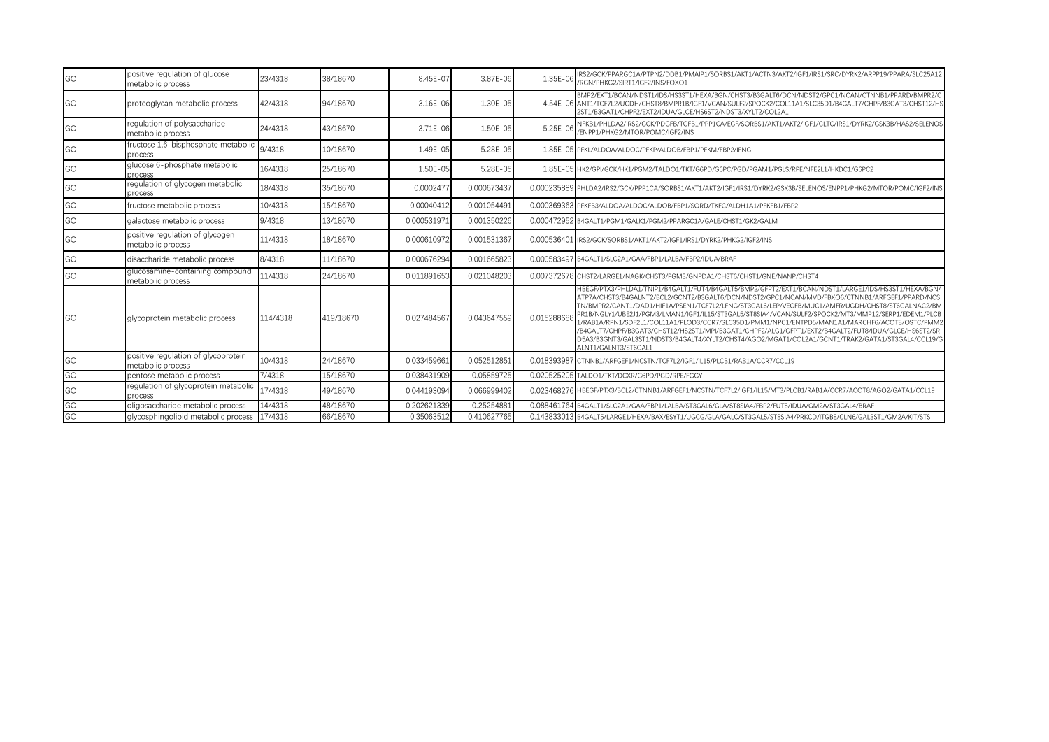| GO | positive regulation of glucose<br>metabolic process      | 23/4318  | 38/18670  | 8.45E-07    | 3.87E-06    | 1.35E-06     | IRS2/GCK/PPARGC1A/PTPN2/DDB1/PMAIP1/SORBS1/AKT1/ACTN3/AKT2/IGF1/IRS1/SRC/DYRK2/ARPP19/PPARA/SLC25A12<br>/RGN/PHKG2/SIRT1/IGF2/INS/FOXO1                                                                                                                                                                                                                                                                                                                                                                                                                                                                                                                                                                                                                 |  |
|----|----------------------------------------------------------|----------|-----------|-------------|-------------|--------------|---------------------------------------------------------------------------------------------------------------------------------------------------------------------------------------------------------------------------------------------------------------------------------------------------------------------------------------------------------------------------------------------------------------------------------------------------------------------------------------------------------------------------------------------------------------------------------------------------------------------------------------------------------------------------------------------------------------------------------------------------------|--|
| GO | proteoglycan metabolic process                           | 42/4318  | 94/18670  | 3.16E-06    | 1.30E-05    |              | BMP2/EXT1/BCAN/NDST1/IDS/HS3ST1/HEXA/BGN/CHST3/B3GALT6/DCN/NDST2/GPC1/NCAN/CTNNB1/PPARD/BMPR2/C<br>4.54E-06 ANT1/TCF7L2/UGDH/CHST8/BMPR1B/IGF1/VCAN/SULF2/SPOCK2/COL11A1/SLC35D1/B4GALT7/CHPF/B3GAT3/CHST12/HS<br>2ST1/B3GAT1/CHPF2/EXT2/IDUA/GLCE/HS6ST2/NDST3/XYLT2/COL2A1                                                                                                                                                                                                                                                                                                                                                                                                                                                                            |  |
| GO | regulation of polysaccharide<br>metabolic process        | 24/4318  | 43/18670  | 3.71E-06    | 1.50E-05    | $5.25E - 06$ | NFKB1/PHLDA2/IRS2/GCK/PDGFB/TGFB1/PPP1CA/EGF/SORBS1/AKT1/AKT2/IGF1/CLTC/IRS1/DYRK2/GSK3B/HAS2/SELENOS<br>/ENPP1/PHKG2/MTOR/POMC/IGF2/INS                                                                                                                                                                                                                                                                                                                                                                                                                                                                                                                                                                                                                |  |
| GO | fructose 1,6-bisphosphate metabolic<br>process           | 9/4318   | 10/18670  | 1.49E-05    | 5.28E-05    |              | 1.85E-05 PFKL/ALDOA/ALDOC/PFKP/ALDOB/FBP1/PFKM/FBP2/IFNG                                                                                                                                                                                                                                                                                                                                                                                                                                                                                                                                                                                                                                                                                                |  |
| GO | glucose 6-phosphate metabolic<br>process                 | 16/4318  | 25/18670  | 1.50E-05    | 5.28E-05    |              | 1.85E-05 HK2/GPI/GCK/HK1/PGM2/TALDO1/TKT/G6PD/G6PC/PGD/PGAM1/PGLS/RPE/NFE2L1/HKDC1/G6PC2                                                                                                                                                                                                                                                                                                                                                                                                                                                                                                                                                                                                                                                                |  |
| GO | regulation of glycogen metabolic<br>process              | 18/4318  | 35/18670  | 0.0002477   | 0.000673437 |              | 0.000235889 PHLDA2/IRS2/GCK/PPP1CA/SORBS1/AKT1/AKT2/IGF1/IRS1/DYRK2/GSK3B/SELENOS/ENPP1/PHKG2/MTOR/POMC/IGF2/INS                                                                                                                                                                                                                                                                                                                                                                                                                                                                                                                                                                                                                                        |  |
| GO | fructose metabolic process                               | 10/4318  | 15/18670  | 0.00040412  | 0.001054491 |              | 0.000369363 PFKFB3/ALDOA/ALDOC/ALDOB/FBP1/SORD/TKFC/ALDH1A1/PFKFB1/FBP2                                                                                                                                                                                                                                                                                                                                                                                                                                                                                                                                                                                                                                                                                 |  |
| GO | galactose metabolic process                              | 9/4318   | 13/18670  | 0.00053197  | 0.001350226 |              | 0.000472952 B4GALT1/PGM1/GALK1/PGM2/PPARGC1A/GALE/CHST1/GK2/GALM                                                                                                                                                                                                                                                                                                                                                                                                                                                                                                                                                                                                                                                                                        |  |
| GO | positive regulation of glycogen<br>metabolic process     | 11/4318  | 18/18670  | 0.000610972 | 0.001531367 |              | 0.000536401 IRS2/GCK/SORBS1/AKT1/AKT2/IGF1/IRS1/DYRK2/PHKG2/IGF2/INS                                                                                                                                                                                                                                                                                                                                                                                                                                                                                                                                                                                                                                                                                    |  |
| GO | disaccharide metabolic process                           | 8/4318   | 11/18670  | 0.000676294 | 0.001665823 |              | 0.000583497 B4GALT1/SLC2A1/GAA/FBP1/LALBA/FBP2/IDUA/BRAF                                                                                                                                                                                                                                                                                                                                                                                                                                                                                                                                                                                                                                                                                                |  |
| GO | glucosamine-containing compound<br>metabolic process     | 11/4318  | 24/18670  | 0.011891653 | 0.021048203 |              | 0.007372678 CHST2/LARGE1/NAGK/CHST3/PGM3/GNPDA1/CHST6/CHST1/GNE/NANP/CHST4                                                                                                                                                                                                                                                                                                                                                                                                                                                                                                                                                                                                                                                                              |  |
| GO | glycoprotein metabolic process                           | 114/4318 | 419/18670 | 0.027484567 | 0.043647559 | 0.015288688  | HBEGF/PTX3/PHLDA1/TNIP1/B4GALT1/FUT4/B4GALT5/BMP2/GFPT2/EXT1/BCAN/NDST1/LARGE1/IDS/HS3ST1/HEXA/BGN/<br>ATP7A/CHST3/B4GALNT2/BCL2/GCNT2/B3GALT6/DCN/NDST2/GPC1/NCAN/MVD/FBXO6/CTNNB1/ARFGEF1/PPARD/NCS<br>TN/BMPR2/CANT1/DAD1/HIF1A/PSEN1/TCF7L2/LFNG/ST3GAL6/LEP/VEGFB/MUC1/AMFR/UGDH/CHST8/ST6GALNAC2/BM<br>PR1B/NGLY1/UBE2J1/PGM3/LMAN1/IGF1/IL15/ST3GAL5/ST8SIA4/VCAN/SULF2/SPOCK2/MT3/MMP12/SERP1/EDEM1/PLCB<br>1/RAB1A/RPN1/SDE2L1/COL11A1/PLOD3/CCR7/SLC35D1/PMM1/NPC1/ENTPD5/MAN1A1/MARCHE6/ACOT8/OSTC/PMM2<br>/B4GALT7/CHPF/B3GAT3/CHST12/HS2ST1/MPI/B3GAT1/CHPF2/ALG1/GFPT1/EXT2/B4GALT2/FUT8/IDUA/GLCE/HS6ST2/SR<br>D5A3/B3GNT3/GAL3ST1/NDST3/B4GALT4/XYLT2/CHST4/AGO2/MGAT1/COL2A1/GCNT1/TRAK2/GATA1/ST3GAL4/CCL19/G<br>ALNT1/GALNT3/ST6GAL1 |  |
| GO | positive regulation of glycoprotein<br>metabolic process | 10/4318  | 24/18670  | 0.033459661 | 0.052512851 |              | 0.018393987 CTNNB1/ARFGEF1/NCSTN/TCF7L2/IGF1/IL15/PLCB1/RAB1A/CCR7/CCL19                                                                                                                                                                                                                                                                                                                                                                                                                                                                                                                                                                                                                                                                                |  |
| GO | pentose metabolic process                                | 7/4318   | 15/18670  | 0.038431909 | 0.05859725  |              | 0.020525205 TALDO1/TKT/DCXR/G6PD/PGD/RPE/FGGY                                                                                                                                                                                                                                                                                                                                                                                                                                                                                                                                                                                                                                                                                                           |  |
| GO | regulation of glycoprotein metabolic<br>process          | 17/4318  | 49/18670  | 0.044193094 | 0.066999402 |              | 0.023468276 HBEGF/PTX3/BCL2/CTNNB1/ARFGEF1/NCSTN/TCF7L2/IGF1/IL15/MT3/PLCB1/RAB1A/CCR7/ACOT8/AGO2/GATA1/CCL19                                                                                                                                                                                                                                                                                                                                                                                                                                                                                                                                                                                                                                           |  |
| GO | oligosaccharide metabolic process                        | 14/4318  | 48/18670  | 0.202621339 | 0.25254881  |              | 0.088461764 B4GALT1/SLC2A1/GAA/FBP1/LALBA/ST3GAL6/GLA/ST8SIA4/FBP2/FUT8/IDUA/GM2A/ST3GAL4/BRAF                                                                                                                                                                                                                                                                                                                                                                                                                                                                                                                                                                                                                                                          |  |
| GO | alvcosphingolipid metabolic process                      | 17/4318  | 66/18670  | 0.35063512  | 0.410627765 |              | 0.143833013 B4GALT5/LARGE1/HEXA/BAX/ESYT1/UGCG/GLA/GALC/ST3GAL5/ST8SIA4/PRKCD/ITGB8/CLN6/GAL3ST1/GM2A/KIT/STS                                                                                                                                                                                                                                                                                                                                                                                                                                                                                                                                                                                                                                           |  |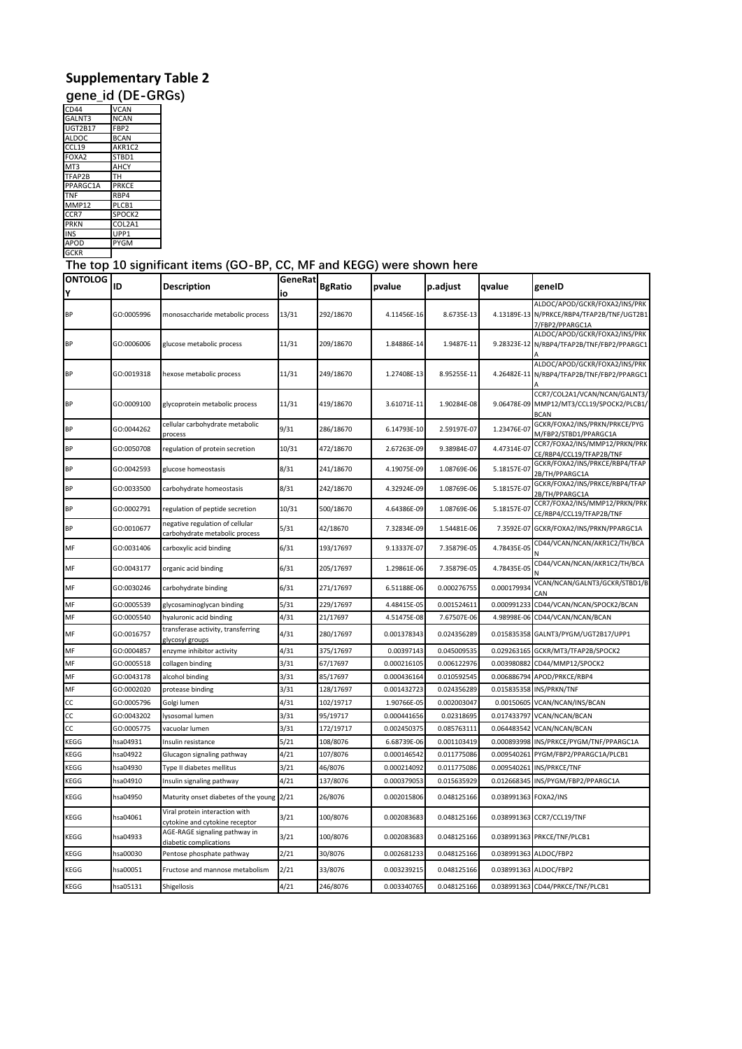## **Supplementary Table 2**

**gene\_id (DE-GRGs)**

| CD44            | <b>VCAN</b>        |
|-----------------|--------------------|
| GALNT3          | <b>NCAN</b>        |
| <b>UGT2B17</b>  | FBP <sub>2</sub>   |
| <b>ALDOC</b>    | <b>BCAN</b>        |
| CCL19           | AKR1C2             |
| FOXA2           | STBD1              |
| MT <sub>3</sub> | AHCY               |
| TFAP2B          | тн                 |
| PPARGC1A        | <b>PRKCE</b>       |
| <b>TNF</b>      | RBP4               |
| MMP12           | PLCB1              |
| CCR7            | SPOCK <sub>2</sub> |
| <b>PRKN</b>     | COL2A1             |
| <b>INS</b>      | UPP1               |
| <b>APOD</b>     | <b>PYGM</b>        |
| <b>GCKR</b>     |                    |

## <u><sup>GCKR</sup>\_\_\_\_\_\_]</u><br>The top 10 significant items (GO-BP, CC, MF and KEGG) were shown here

| ONTOLOG<br>Υ | ID         | Description                                                       | GeneRat<br>io | <b>BgRatio</b> | pvalue      | p.adjust    | qvalue                | geneID                                                                                         |
|--------------|------------|-------------------------------------------------------------------|---------------|----------------|-------------|-------------|-----------------------|------------------------------------------------------------------------------------------------|
| <b>BP</b>    | GO:0005996 | monosaccharide metabolic process                                  | 13/31         | 292/18670      | 4.11456E-16 | 8.6735E-13  |                       | ALDOC/APOD/GCKR/FOXA2/INS/PRK<br>4.13189E-13 N/PRKCE/RBP4/TFAP2B/TNF/UGT2B1<br>7/FBP2/PPARGC1A |
| <b>BP</b>    | GO:0006006 | glucose metabolic process                                         | 11/31         | 209/18670      | 1.84886E-14 | 1.9487E-11  |                       | ALDOC/APOD/GCKR/FOXA2/INS/PRK<br>9.28323E-12 N/RBP4/TFAP2B/TNF/FBP2/PPARGC1                    |
| <b>BP</b>    | GO:0019318 | hexose metabolic process                                          | 11/31         | 249/18670      | 1.27408E-13 | 8.95255E-11 | 4.26482E-11           | ALDOC/APOD/GCKR/FOXA2/INS/PRK<br>N/RBP4/TFAP2B/TNF/FBP2/PPARGC1                                |
| <b>BP</b>    | GO:0009100 | glycoprotein metabolic process                                    | 11/31         | 419/18670      | 3.61071E-11 | 1.90284E-08 |                       | CCR7/COL2A1/VCAN/NCAN/GALNT3/<br>9.06478E-09 MMP12/MT3/CCL19/SPOCK2/PLCB1/<br><b>BCAN</b>      |
| <b>BP</b>    | GO:0044262 | cellular carbohydrate metabolic<br>process                        | 9/31          | 286/18670      | 6.14793E-10 | 2.59197E-07 | 1.23476E-0            | GCKR/FOXA2/INS/PRKN/PRKCE/PYG<br>M/FBP2/STBD1/PPARGC1A                                         |
| <b>BP</b>    | GO:0050708 | regulation of protein secretion                                   | 10/31         | 472/18670      | 2.67263E-09 | 9.38984E-07 | 4.47314E-0            | CCR7/FOXA2/INS/MMP12/PRKN/PRK<br>CE/RBP4/CCL19/TFAP2B/TNF                                      |
| <b>BP</b>    | GO:0042593 | glucose homeostasis                                               | 8/31          | 241/18670      | 4.19075E-09 | 1.08769E-06 | 5.18157E-0            | GCKR/FOXA2/INS/PRKCE/RBP4/TFAP<br>2B/TH/PPARGC1A                                               |
| <b>BP</b>    | GO:0033500 | carbohydrate homeostasis                                          | 8/31          | 242/18670      | 4.32924E-09 | 1.08769E-06 | 5.18157E-07           | GCKR/FOXA2/INS/PRKCE/RBP4/TFAP<br>2B/TH/PPARGC1A                                               |
| <b>BP</b>    | GO:0002791 | regulation of peptide secretion                                   | 10/31         | 500/18670      | 4.64386E-09 | 1.08769E-06 | 5.18157E-07           | CCR7/FOXA2/INS/MMP12/PRKN/PRK<br>CE/RBP4/CCL19/TFAP2B/TNF                                      |
| <b>BP</b>    | GO:0010677 | negative regulation of cellular<br>carbohydrate metabolic process | 5/31          | 42/18670       | 7.32834E-09 | 1.54481E-06 | 7.3592E-07            | GCKR/FOXA2/INS/PRKN/PPARGC1A                                                                   |
| MF           | GO:0031406 | carboxylic acid binding                                           | 6/31          | 193/17697      | 9.13337E-07 | 7.35879E-05 | 4.78435E-05           | CD44/VCAN/NCAN/AKR1C2/TH/BCA                                                                   |
| MF           | GO:0043177 | organic acid binding                                              | 6/31          | 205/17697      | 1.29861E-06 | 7.35879E-05 | 4.78435E-05           | CD44/VCAN/NCAN/AKR1C2/TH/BCA                                                                   |
| MF           | GO:0030246 | carbohydrate binding                                              | 6/31          | 271/17697      | 6.51188E-06 | 0.000276755 | 0.000179934           | VCAN/NCAN/GALNT3/GCKR/STBD1/B<br>CAN                                                           |
| MF           | GO:0005539 | glycosaminoglycan binding                                         | 5/31          | 229/17697      | 4.48415E-05 | 0.001524611 | 0.000991233           | CD44/VCAN/NCAN/SPOCK2/BCAN                                                                     |
| MF           | GO:0005540 | hyaluronic acid binding                                           | 4/31          | 21/17697       | 4.51475E-08 | 7.67507E-06 | 4.98998E-06           | CD44/VCAN/NCAN/BCAN                                                                            |
| MF           | GO:0016757 | transferase activity, transferring<br>glycosyl groups             | 4/31          | 280/17697      | 0.001378343 | 0.024356289 |                       | 0.015835358 GALNT3/PYGM/UGT2B17/UPP1                                                           |
| MF           | GO:0004857 | enzyme inhibitor activity                                         | 4/31          | 375/17697      | 0.00397143  | 0.045009535 | 0.029263165           | GCKR/MT3/TFAP2B/SPOCK2                                                                         |
| MF           | GO:0005518 | collagen binding                                                  | 3/31          | 67/17697       | 0.000216105 | 0.006122976 | 0.003980882           | CD44/MMP12/SPOCK2                                                                              |
| MF           | GO:0043178 | alcohol binding                                                   | 3/31          | 85/17697       | 0.000436164 | 0.010592545 | 0.006886794           | APOD/PRKCE/RBP4                                                                                |
| MF           | GO:0002020 | protease binding                                                  | 3/31          | 128/17697      | 0.001432723 | 0.024356289 | 0.015835358           | INS/PRKN/TNF                                                                                   |
| CC           | GO:0005796 | Golgi lumen                                                       | 4/31          | 102/19717      | 1.90766E-05 | 0.002003047 | 0.00150605            | VCAN/NCAN/INS/BCAN                                                                             |
| CC           | GO:0043202 | lysosomal lumen                                                   | 3/31          | 95/19717       | 0.000441656 | 0.02318695  | 0.017433797           | VCAN/NCAN/BCAN                                                                                 |
| CC           | GO:0005775 | vacuolar lumen                                                    | 3/31          | 172/19717      | 0.002450375 | 0.085763111 | 0.064483542           | VCAN/NCAN/BCAN                                                                                 |
| <b>KEGG</b>  | hsa04931   | Insulin resistance                                                | 5/21          | 108/8076       | 6.68739E-06 | 0.001103419 | 0.000893998           | INS/PRKCE/PYGM/TNF/PPARGC1A                                                                    |
| KEGG         | hsa04922   | Glucagon signaling pathway                                        | 4/21          | 107/8076       | 0.000146542 | 0.011775086 | 0.009540261           | PYGM/FBP2/PPARGC1A/PLCB1                                                                       |
| KEGG         | hsa04930   | Type II diabetes mellitus                                         | 3/21          | 46/8076        | 0.000214092 | 0.011775086 | 0.009540261           | INS/PRKCE/TNF                                                                                  |
| KEGG         | hsa04910   | Insulin signaling pathway                                         | 4/21          | 137/8076       | 0.000379053 | 0.015635929 | 0.012668345           | INS/PYGM/FBP2/PPARGC1A                                                                         |
| KEGG         | hsa04950   | Maturity onset diabetes of the young 2/21                         |               | 26/8076        | 0.002015806 | 0.048125166 | 0.038991363 FOXA2/INS |                                                                                                |
| KEGG         | hsa04061   | Viral protein interaction with<br>cytokine and cytokine receptor  | 3/21          | 100/8076       | 0.002083683 | 0.048125166 |                       | 0.038991363 CCR7/CCL19/TNF                                                                     |
| KEGG         | hsa04933   | AGE-RAGE signaling pathway in<br>diabetic complications           | 3/21          | 100/8076       | 0.002083683 | 0.048125166 |                       | 0.038991363 PRKCE/TNF/PLCB1                                                                    |
| KEGG         | hsa00030   | Pentose phosphate pathway                                         | 2/21          | 30/8076        | 0.002681233 | 0.048125166 | 0.038991363           | ALDOC/FBP2                                                                                     |
| KEGG         | hsa00051   | Fructose and mannose metabolism                                   | 2/21          | 33/8076        | 0.003239215 | 0.048125166 |                       | 0.038991363 ALDOC/FBP2                                                                         |
| KEGG         | hsa05131   | Shigellosis                                                       | 4/21          | 246/8076       | 0.003340765 | 0.048125166 |                       | 0.038991363 CD44/PRKCE/TNF/PLCB1                                                               |